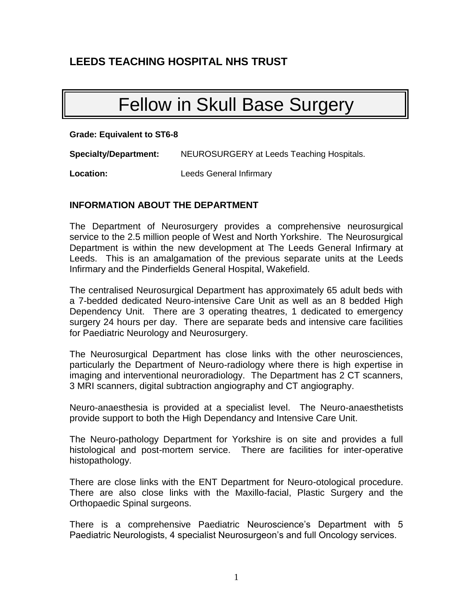## **LEEDS TEACHING HOSPITAL NHS TRUST**

# Fellow in Skull Base Surgery

**Grade: Equivalent to ST6-8**

**Specialty/Department:** NEUROSURGERY at Leeds Teaching Hospitals.

**Location:** Leeds General Infirmary

## **INFORMATION ABOUT THE DEPARTMENT**

The Department of Neurosurgery provides a comprehensive neurosurgical service to the 2.5 million people of West and North Yorkshire. The Neurosurgical Department is within the new development at The Leeds General Infirmary at Leeds. This is an amalgamation of the previous separate units at the Leeds Infirmary and the Pinderfields General Hospital, Wakefield.

The centralised Neurosurgical Department has approximately 65 adult beds with a 7-bedded dedicated Neuro-intensive Care Unit as well as an 8 bedded High Dependency Unit. There are 3 operating theatres, 1 dedicated to emergency surgery 24 hours per day. There are separate beds and intensive care facilities for Paediatric Neurology and Neurosurgery.

The Neurosurgical Department has close links with the other neurosciences, particularly the Department of Neuro-radiology where there is high expertise in imaging and interventional neuroradiology. The Department has 2 CT scanners, 3 MRI scanners, digital subtraction angiography and CT angiography.

Neuro-anaesthesia is provided at a specialist level. The Neuro-anaesthetists provide support to both the High Dependancy and Intensive Care Unit.

The Neuro-pathology Department for Yorkshire is on site and provides a full histological and post-mortem service. There are facilities for inter-operative histopathology.

There are close links with the ENT Department for Neuro-otological procedure. There are also close links with the Maxillo-facial, Plastic Surgery and the Orthopaedic Spinal surgeons.

There is a comprehensive Paediatric Neuroscience's Department with 5 Paediatric Neurologists, 4 specialist Neurosurgeon's and full Oncology services.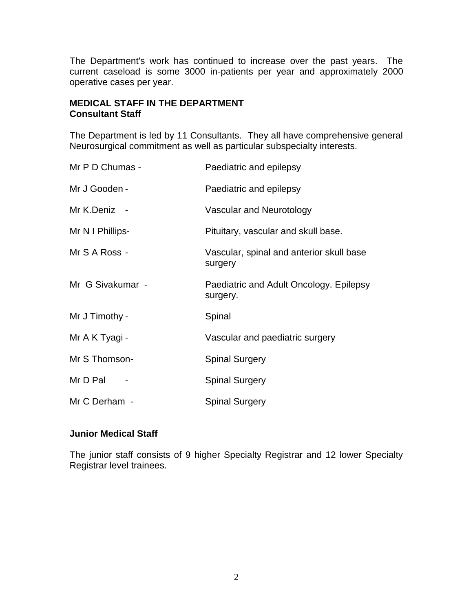The Department's work has continued to increase over the past years. The current caseload is some 3000 in-patients per year and approximately 2000 operative cases per year.

## **MEDICAL STAFF IN THE DEPARTMENT Consultant Staff**

The Department is led by 11 Consultants. They all have comprehensive general Neurosurgical commitment as well as particular subspecialty interests.

| Mr P D Chumas -  | Paediatric and epilepsy                             |
|------------------|-----------------------------------------------------|
| Mr J Gooden -    | Paediatric and epilepsy                             |
| Mr K.Deniz -     | Vascular and Neurotology                            |
| Mr N I Phillips- | Pituitary, vascular and skull base.                 |
| Mr S A Ross -    | Vascular, spinal and anterior skull base<br>surgery |
| Mr G Sivakumar - | Paediatric and Adult Oncology. Epilepsy<br>surgery. |
| Mr J Timothy -   | Spinal                                              |
| Mr A K Tyagi -   | Vascular and paediatric surgery                     |
| Mr S Thomson-    | <b>Spinal Surgery</b>                               |
| Mr D Pal         | <b>Spinal Surgery</b>                               |
| Mr C Derham -    | <b>Spinal Surgery</b>                               |

## **Junior Medical Staff**

The junior staff consists of 9 higher Specialty Registrar and 12 lower Specialty Registrar level trainees.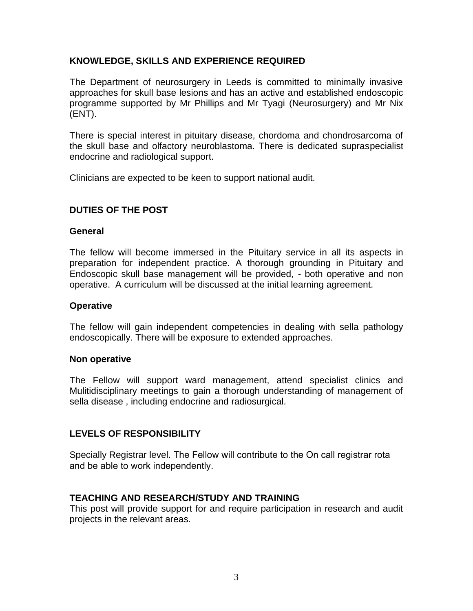## **KNOWLEDGE, SKILLS AND EXPERIENCE REQUIRED**

The Department of neurosurgery in Leeds is committed to minimally invasive approaches for skull base lesions and has an active and established endoscopic programme supported by Mr Phillips and Mr Tyagi (Neurosurgery) and Mr Nix (ENT).

There is special interest in pituitary disease, chordoma and chondrosarcoma of the skull base and olfactory neuroblastoma. There is dedicated supraspecialist endocrine and radiological support.

Clinicians are expected to be keen to support national audit.

## **DUTIES OF THE POST**

#### **General**

The fellow will become immersed in the Pituitary service in all its aspects in preparation for independent practice. A thorough grounding in Pituitary and Endoscopic skull base management will be provided, - both operative and non operative. A curriculum will be discussed at the initial learning agreement.

#### **Operative**

The fellow will gain independent competencies in dealing with sella pathology endoscopically. There will be exposure to extended approaches.

#### **Non operative**

The Fellow will support ward management, attend specialist clinics and Mulitidisciplinary meetings to gain a thorough understanding of management of sella disease , including endocrine and radiosurgical.

## **LEVELS OF RESPONSIBILITY**

Specially Registrar level. The Fellow will contribute to the On call registrar rota and be able to work independently.

## **TEACHING AND RESEARCH/STUDY AND TRAINING**

This post will provide support for and require participation in research and audit projects in the relevant areas.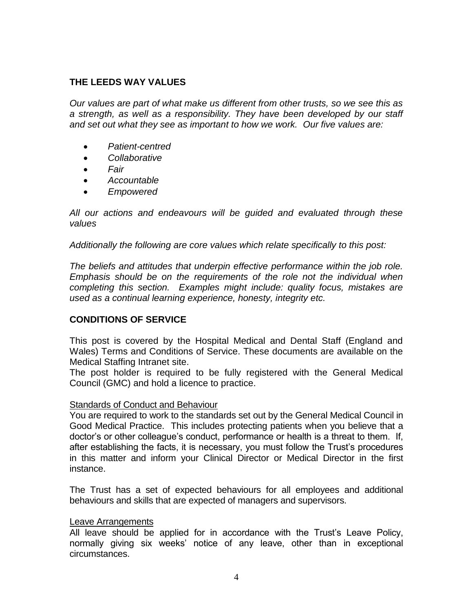## **THE LEEDS WAY VALUES**

*Our values are part of what make us different from other trusts, so we see this as a strength, as well as a responsibility. They have been developed by our staff and set out what they see as important to how we work. Our five values are:*

- *Patient-centred*
- *Collaborative*
- *Fair*
- *Accountable*
- *Empowered*

*All our actions and endeavours will be guided and evaluated through these values*

*Additionally the following are core values which relate specifically to this post:*

*The beliefs and attitudes that underpin effective performance within the job role. Emphasis should be on the requirements of the role not the individual when completing this section. Examples might include: quality focus, mistakes are used as a continual learning experience, honesty, integrity etc.*

## **CONDITIONS OF SERVICE**

This post is covered by the Hospital Medical and Dental Staff (England and Wales) Terms and Conditions of Service. These documents are available on the Medical Staffing Intranet site.

The post holder is required to be fully registered with the General Medical Council (GMC) and hold a licence to practice.

#### Standards of Conduct and Behaviour

You are required to work to the standards set out by the General Medical Council in Good Medical Practice. This includes protecting patients when you believe that a doctor's or other colleague's conduct, performance or health is a threat to them. If, after establishing the facts, it is necessary, you must follow the Trust's procedures in this matter and inform your Clinical Director or Medical Director in the first instance.

The Trust has a set of expected behaviours for all employees and additional behaviours and skills that are expected of managers and supervisors.

#### Leave Arrangements

All leave should be applied for in accordance with the Trust's Leave Policy, normally giving six weeks' notice of any leave, other than in exceptional circumstances.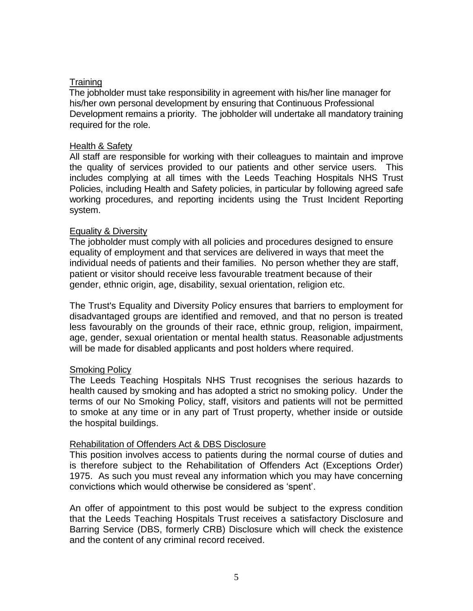## **Training**

The jobholder must take responsibility in agreement with his/her line manager for his/her own personal development by ensuring that Continuous Professional Development remains a priority. The jobholder will undertake all mandatory training required for the role.

#### Health & Safety

All staff are responsible for working with their colleagues to maintain and improve the quality of services provided to our patients and other service users. This includes complying at all times with the Leeds Teaching Hospitals NHS Trust Policies, including Health and Safety policies, in particular by following agreed safe working procedures, and reporting incidents using the Trust Incident Reporting system.

#### Equality & Diversity

The jobholder must comply with all policies and procedures designed to ensure equality of employment and that services are delivered in ways that meet the individual needs of patients and their families. No person whether they are staff, patient or visitor should receive less favourable treatment because of their gender, ethnic origin, age, disability, sexual orientation, religion etc.

The Trust's Equality and Diversity Policy ensures that barriers to employment for disadvantaged groups are identified and removed, and that no person is treated less favourably on the grounds of their race, ethnic group, religion, impairment, age, gender, sexual orientation or mental health status. Reasonable adjustments will be made for disabled applicants and post holders where required.

#### **Smoking Policy**

The Leeds Teaching Hospitals NHS Trust recognises the serious hazards to health caused by smoking and has adopted a strict no smoking policy. Under the terms of our No Smoking Policy, staff, visitors and patients will not be permitted to smoke at any time or in any part of Trust property, whether inside or outside the hospital buildings.

#### Rehabilitation of Offenders Act & DBS Disclosure

This position involves access to patients during the normal course of duties and is therefore subject to the Rehabilitation of Offenders Act (Exceptions Order) 1975. As such you must reveal any information which you may have concerning convictions which would otherwise be considered as 'spent'.

An offer of appointment to this post would be subject to the express condition that the Leeds Teaching Hospitals Trust receives a satisfactory Disclosure and Barring Service (DBS, formerly CRB) Disclosure which will check the existence and the content of any criminal record received.